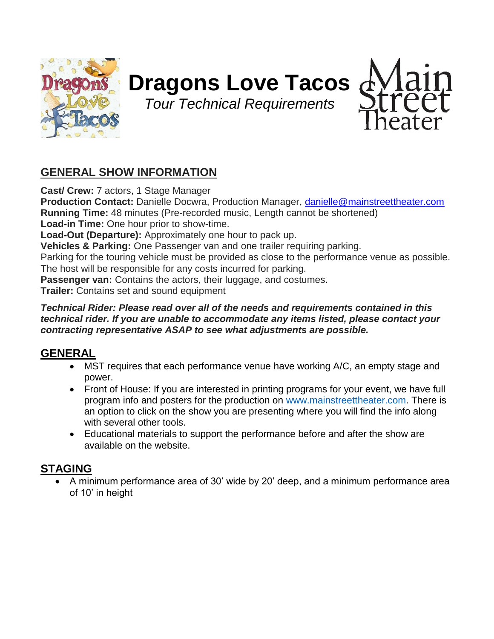

# **Dragons Love Tacos**

*Tour Technical Requirements*



# **GENERAL SHOW INFORMATION**

**Cast/ Crew:** 7 actors, 1 Stage Manager **Production Contact:** Danielle Docwra, Production Manager, [danielle@mainstreettheater.com](mailto:danielle@mainstreettheater.com) **Running Time:** 48 minutes (Pre-recorded music, Length cannot be shortened) **Load-in Time:** One hour prior to show-time. **Load-Out (Departure):** Approximately one hour to pack up. **Vehicles & Parking:** One Passenger van and one trailer requiring parking. Parking for the touring vehicle must be provided as close to the performance venue as possible. The host will be responsible for any costs incurred for parking. **Passenger van:** Contains the actors, their luggage, and costumes. **Trailer:** Contains set and sound equipment

#### *Technical Rider: Please read over all of the needs and requirements contained in this technical rider. If you are unable to accommodate any items listed, please contact your contracting representative ASAP to see what adjustments are possible.*

## **GENERAL**

- MST requires that each performance venue have working A/C, an empty stage and power.
- Front of House: If you are interested in printing programs for your event, we have full program info and posters for the production on www.mainstreettheater.com. There is an option to click on the show you are presenting where you will find the info along with several other tools.
- Educational materials to support the performance before and after the show are available on the website.

# **STAGING**

• A minimum performance area of 30' wide by 20' deep, and a minimum performance area of 10' in height